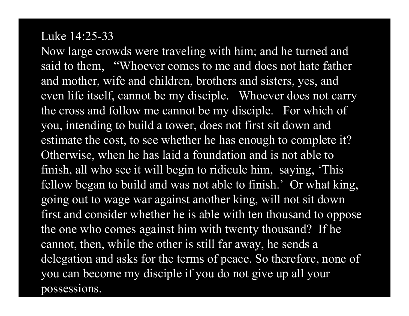#### Luke 14:25-33

Now large crowds were traveling with him; and he turned and said to them, "Whoever comes to me and does not hate father and mother, wife and children, brothers and sisters, yes, and even life itself, cannot be my disciple. Whoever does not carry the cross and follow me cannot be my disciple. For which of you, intending to build a tower, does not first sit down and estimate the cost, to see whether he has enough to complete it? Otherwise, when he has laid a foundation and is not able to finish, all who see it will begin to ridicule him, saying, 'This fellow began to build and was not able to finish.' Or what king, going out to wage war against another king, will not sit down first and consider whether he is able with ten thousand to oppose the one who comes against him with twenty thousand? If he cannot, then, while the other is still far away, he sends a delegation and asks for the terms of peace. So therefore, none of you can become my disciple if you do not give up all your possessions.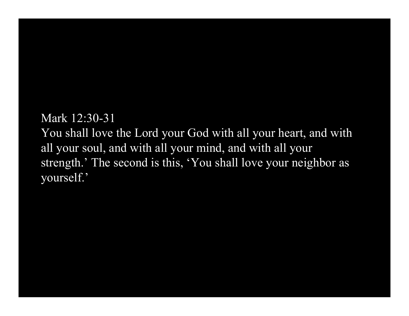Mark 12:30-31

You shall love the Lord your God with all your heart, and with all your soul, and with all your mind, and with all your strength.' The second is this, 'You shall love your neighbor as yourself.'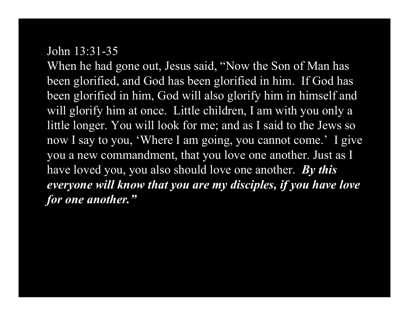## John 13:31-35

When he had gone out, Jesus said, "Now the Son of Man has been glorified, and God has been glorified in him. If God has been glorified in him, God will also glorify him in himself and will glorify him at once. Little children, I am with you only a little longer. You will look for me; and as I said to the Jews so now I say to you, 'Where I am going, you cannot come.' I give you a new commandment, that you love one another. Just as I have loved you, you also should love one another. *By this everyone will know that you are my disciples, if you have love for one another."*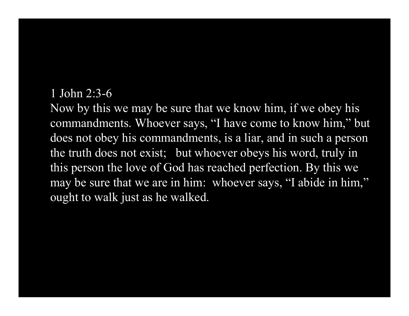## 1 John 2:3-6

Now by this we may be sure that we know him, if we obey his commandments. Whoever says, "I have come to know him," but does not obey his commandments, is a liar, and in such a person the truth does not exist; but whoever obeys his word, truly in this person the love of God has reached perfection. By this we may be sure that we are in him: whoever says, "I abide in him," ought to walk just as he walked.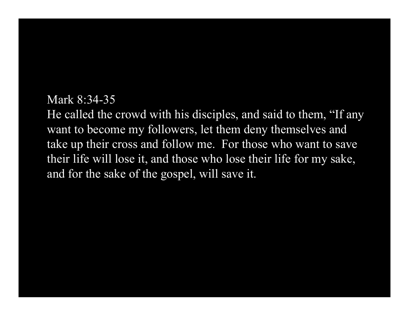#### Mark 8:34-35

He called the crowd with his disciples, and said to them, "If any want to become my followers, let them deny themselves and take up their cross and follow me. For those who want to save their life will lose it, and those who lose their life for my sake, and for the sake of the gospel, will save it.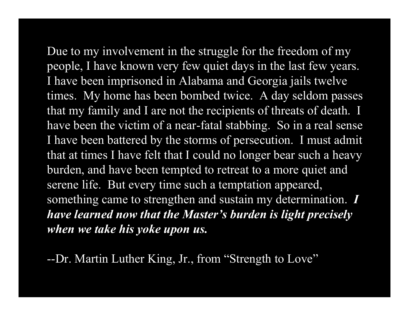Due to my involvement in the struggle for the freedom of my people, I have known very few quiet days in the last few years. I have been imprisoned in Alabama and Georgia jails twelve times. My home has been bombed twice. A day seldom passes that my family and I are not the recipients of threats of death. I have been the victim of a near-fatal stabbing. So in a real sense I have been battered by the storms of persecution. I must admit that at times I have felt that I could no longer bear such a heavy burden, and have been tempted to retreat to a more quiet and serene life. But every time such a temptation appeared, something came to strengthen and sustain my determination. *I have learned now that the Master's burden is light precisely when we take his yoke upon us.*

--Dr. Martin Luther King, Jr., from "Strength to Love"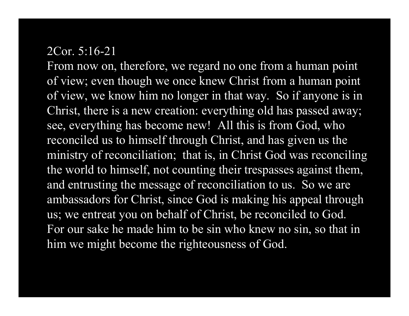## 2Cor. 5:16-21

From now on, therefore, we regard no one from a human point of view; even though we once knew Christ from a human point of view, we know him no longer in that way. So if anyone is in Christ, there is a new creation: everything old has passed away; see, everything has become new! All this is from God, who reconciled us to himself through Christ, and has given us the ministry of reconciliation; that is, in Christ God was reconciling the world to himself, not counting their trespasses against them, and entrusting the message of reconciliation to us. So we are ambassadors for Christ, since God is making his appeal through us; we entreat you on behalf of Christ, be reconciled to God. For our sake he made him to be sin who knew no sin, so that in him we might become the righteousness of God.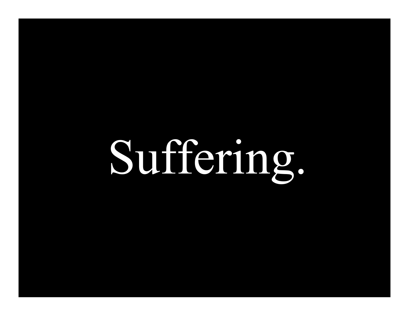# Suffering.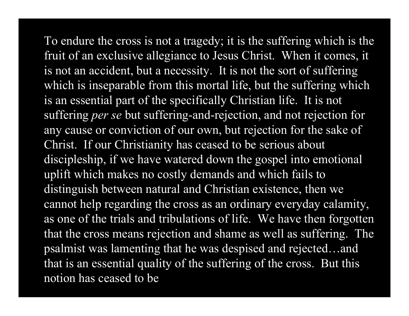To endure the cross is not a tragedy; it is the suffering which is the fruit of an exclusive allegiance to Jesus Christ. When it comes, it is not an accident, but a necessity. It is not the sort of suffering which is inseparable from this mortal life, but the suffering which is an essential part of the specifically Christian life. It is not suffering *per se* but suffering-and-rejection, and not rejection for any cause or conviction of our own, but rejection for the sake of Christ. If our Christianity has ceased to be serious about discipleship, if we have watered down the gospel into emotional uplift which makes no costly demands and which fails to distinguish between natural and Christian existence, then we cannot help regarding the cross as an ordinary everyday calamity, as one of the trials and tribulations of life. We have then forgotten that the cross means rejection and shame as well as suffering. The psalmist was lamenting that he was despised and rejected…and that is an essential quality of the suffering of the cross. But this notion has ceased to be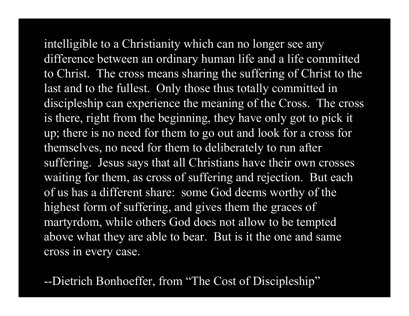intelligible to a Christianity which can no longer see any difference between an ordinary human life and a life committed to Christ. The cross means sharing the suffering of Christ to the last and to the fullest. Only those thus totally committed in discipleship can experience the meaning of the Cross. The cross is there, right from the beginning, they have only got to pick it up; there is no need for them to go out and look for a cross for themselves, no need for them to deliberately to run after suffering. Jesus says that all Christians have their own crosses waiting for them, as cross of suffering and rejection. But each of us has a different share: some God deems worthy of the highest form of suffering, and gives them the graces of martyrdom, while others God does not allow to be tempted above what they are able to bear. But is it the one and same cross in every case.

--Dietrich Bonhoeffer, from "The Cost of Discipleship"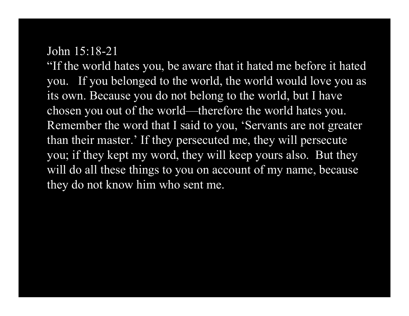## John 15:18-21

"If the world hates you, be aware that it hated me before it hated you. If you belonged to the world, the world would love you as its own. Because you do not belong to the world, but I have chosen you out of the world—therefore the world hates you. Remember the word that I said to you, 'Servants are not greater than their master.' If they persecuted me, they will persecute you; if they kept my word, they will keep yours also. But they will do all these things to you on account of my name, because they do not know him who sent me.